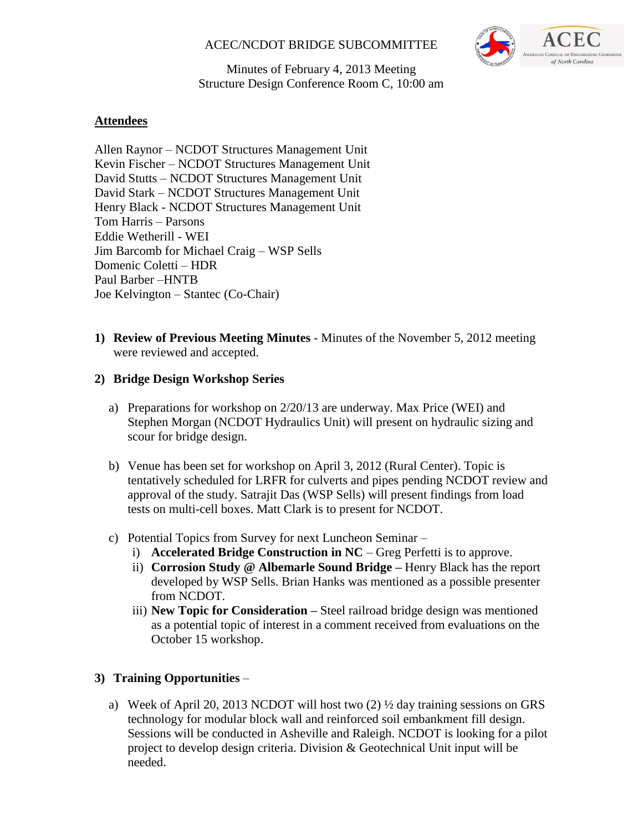# ACEC/NCDOT BRIDGE SUBCOMMITTEE



Minutes of February 4, 2013 Meeting Structure Design Conference Room C, 10:00 am

# **Attendees**

Allen Raynor – NCDOT Structures Management Unit Kevin Fischer – NCDOT Structures Management Unit David Stutts – NCDOT Structures Management Unit David Stark – NCDOT Structures Management Unit Henry Black - NCDOT Structures Management Unit Tom Harris – Parsons Eddie Wetherill - WEI Jim Barcomb for Michael Craig – WSP Sells Domenic Coletti – HDR Paul Barber –HNTB Joe Kelvington – Stantec (Co-Chair)

**1) Review of Previous Meeting Minutes** - Minutes of the November 5, 2012 meeting were reviewed and accepted.

#### **2) Bridge Design Workshop Series**

- a) Preparations for workshop on 2/20/13 are underway. Max Price (WEI) and Stephen Morgan (NCDOT Hydraulics Unit) will present on hydraulic sizing and scour for bridge design.
- b) Venue has been set for workshop on April 3, 2012 (Rural Center). Topic is tentatively scheduled for LRFR for culverts and pipes pending NCDOT review and approval of the study. Satrajit Das (WSP Sells) will present findings from load tests on multi-cell boxes. Matt Clark is to present for NCDOT.
- c) Potential Topics from Survey for next Luncheon Seminar
	- i) **Accelerated Bridge Construction in NC** Greg Perfetti is to approve.
	- ii) **Corrosion Study @ Albemarle Sound Bridge –** Henry Black has the report developed by WSP Sells. Brian Hanks was mentioned as a possible presenter from NCDOT.
	- iii) **New Topic for Consideration –** Steel railroad bridge design was mentioned as a potential topic of interest in a comment received from evaluations on the October 15 workshop.

# **3) Training Opportunities** –

a) Week of April 20, 2013 NCDOT will host two (2) ½ day training sessions on GRS technology for modular block wall and reinforced soil embankment fill design. Sessions will be conducted in Asheville and Raleigh. NCDOT is looking for a pilot project to develop design criteria. Division & Geotechnical Unit input will be needed.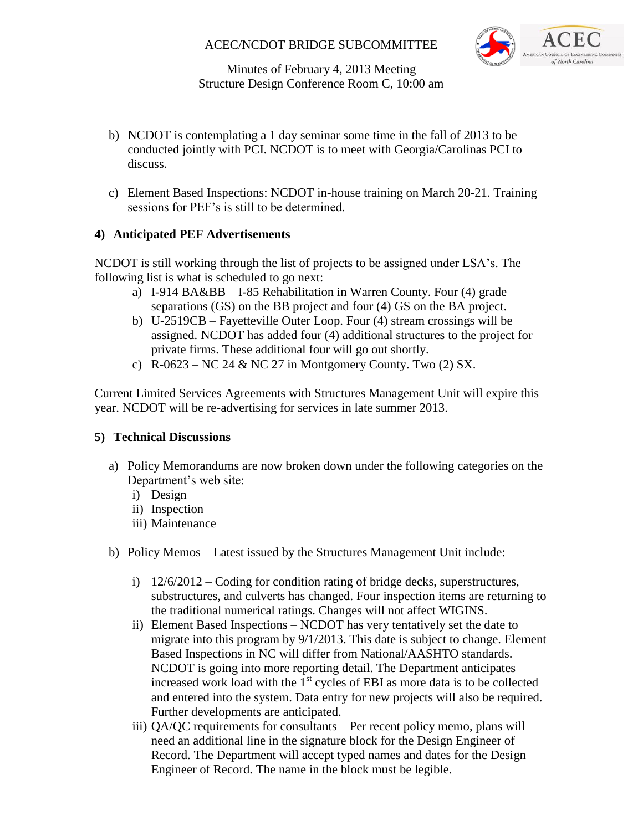# ACEC/NCDOT BRIDGE SUBCOMMITTEE



Minutes of February 4, 2013 Meeting Structure Design Conference Room C, 10:00 am

- b) NCDOT is contemplating a 1 day seminar some time in the fall of 2013 to be conducted jointly with PCI. NCDOT is to meet with Georgia/Carolinas PCI to discuss.
- c) Element Based Inspections: NCDOT in-house training on March 20-21. Training sessions for PEF's is still to be determined.

## **4) Anticipated PEF Advertisements**

NCDOT is still working through the list of projects to be assigned under LSA's. The following list is what is scheduled to go next:

- a) I-914 BA&BB I-85 Rehabilitation in Warren County. Four (4) grade separations (GS) on the BB project and four (4) GS on the BA project.
- b) U-2519CB Fayetteville Outer Loop. Four (4) stream crossings will be assigned. NCDOT has added four (4) additional structures to the project for private firms. These additional four will go out shortly.
- c) R-0623 NC 24 & NC 27 in Montgomery County. Two  $(2)$  SX.

Current Limited Services Agreements with Structures Management Unit will expire this year. NCDOT will be re-advertising for services in late summer 2013.

#### **5) Technical Discussions**

- a) Policy Memorandums are now broken down under the following categories on the Department's web site:
	- i) Design
	- ii) Inspection
	- iii) Maintenance
- b) Policy Memos Latest issued by the Structures Management Unit include:
	- i) 12/6/2012 Coding for condition rating of bridge decks, superstructures, substructures, and culverts has changed. Four inspection items are returning to the traditional numerical ratings. Changes will not affect WIGINS.
	- ii) Element Based Inspections NCDOT has very tentatively set the date to migrate into this program by 9/1/2013. This date is subject to change. Element Based Inspections in NC will differ from National/AASHTO standards. NCDOT is going into more reporting detail. The Department anticipates increased work load with the  $1<sup>st</sup>$  cycles of EBI as more data is to be collected and entered into the system. Data entry for new projects will also be required. Further developments are anticipated.
	- iii) QA/QC requirements for consultants Per recent policy memo, plans will need an additional line in the signature block for the Design Engineer of Record. The Department will accept typed names and dates for the Design Engineer of Record. The name in the block must be legible.